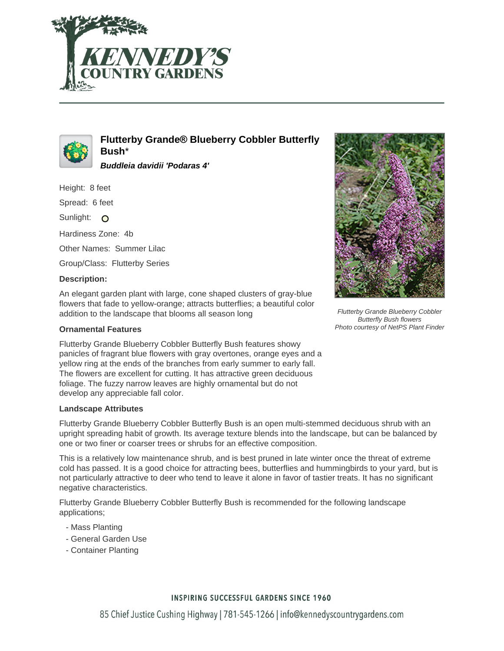



**Flutterby Grande® Blueberry Cobbler Butterfly Bush**\*

**Buddleia davidii 'Podaras 4'**

Height: 8 feet

Spread: 6 feet

Sunlight: O

Hardiness Zone: 4b

Other Names: Summer Lilac

Group/Class: Flutterby Series

#### **Description:**

An elegant garden plant with large, cone shaped clusters of gray-blue flowers that fade to yellow-orange; attracts butterflies; a beautiful color addition to the landscape that blooms all season long

#### **Ornamental Features**

Flutterby Grande Blueberry Cobbler Butterfly Bush features showy panicles of fragrant blue flowers with gray overtones, orange eyes and a yellow ring at the ends of the branches from early summer to early fall. The flowers are excellent for cutting. It has attractive green deciduous foliage. The fuzzy narrow leaves are highly ornamental but do not develop any appreciable fall color.

## **Landscape Attributes**

Flutterby Grande Blueberry Cobbler Butterfly Bush is an open multi-stemmed deciduous shrub with an upright spreading habit of growth. Its average texture blends into the landscape, but can be balanced by one or two finer or coarser trees or shrubs for an effective composition.

This is a relatively low maintenance shrub, and is best pruned in late winter once the threat of extreme cold has passed. It is a good choice for attracting bees, butterflies and hummingbirds to your yard, but is not particularly attractive to deer who tend to leave it alone in favor of tastier treats. It has no significant negative characteristics.

Flutterby Grande Blueberry Cobbler Butterfly Bush is recommended for the following landscape applications;

- Mass Planting
- General Garden Use
- Container Planting



Flutterby Grande Blueberry Cobbler Butterfly Bush flowers Photo courtesy of NetPS Plant Finder

## **INSPIRING SUCCESSFUL GARDENS SINCE 1960**